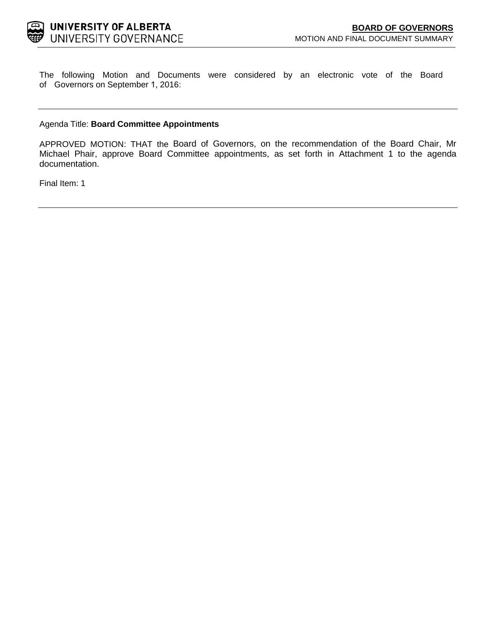The following Motion and Documents were considered by an electronic vote of the Board of Governors on September 1, 2016:

### Agenda Title: **Board Committee Appointments**

APPROVED MOTION: THAT the Board of Governors, on the recommendation of the Board Chair, Mr Michael Phair, approve Board Committee appointments, as set forth in Attachment 1 to the agenda documentation.

Final Item: [1](#page-1-0)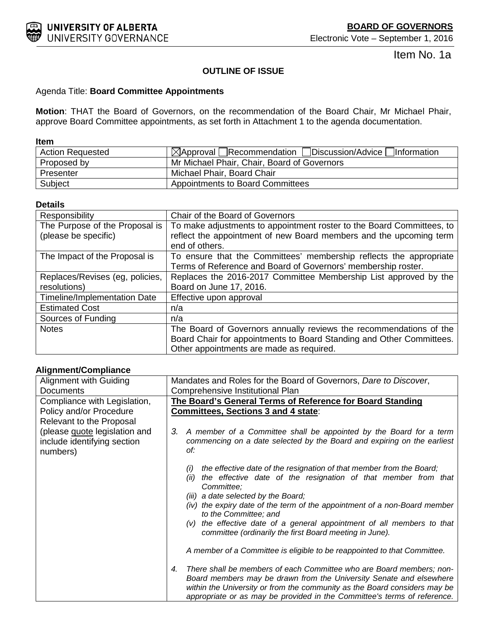<span id="page-1-0"></span>

Item No. 1a

# **OUTLINE OF ISSUE**

# Agenda Title: **Board Committee Appointments**

**Motion**: THAT the Board of Governors, on the recommendation of the Board Chair, Mr Michael Phair, approve Board Committee appointments, as set forth in Attachment 1 to the agenda documentation.

# **Item**

| <b>Action Requested</b> | $\boxtimes$ Approval Recommendation Discussion/Advice Information |
|-------------------------|-------------------------------------------------------------------|
| Proposed by             | Mr Michael Phair, Chair, Board of Governors                       |
| Presenter               | Michael Phair, Board Chair                                        |
| Subject                 | Appointments to Board Committees                                  |

# **Details**

| Responsibility                  | Chair of the Board of Governors                                       |
|---------------------------------|-----------------------------------------------------------------------|
| The Purpose of the Proposal is  | To make adjustments to appointment roster to the Board Committees, to |
| (please be specific)            | reflect the appointment of new Board members and the upcoming term    |
|                                 | end of others.                                                        |
| The Impact of the Proposal is   | To ensure that the Committees' membership reflects the appropriate    |
|                                 | Terms of Reference and Board of Governors' membership roster.         |
| Replaces/Revises (eg, policies, | Replaces the 2016-2017 Committee Membership List approved by the      |
| resolutions)                    | Board on June 17, 2016.                                               |
| Timeline/Implementation Date    | Effective upon approval                                               |
| <b>Estimated Cost</b>           | n/a                                                                   |
| Sources of Funding              | n/a                                                                   |
| <b>Notes</b>                    | The Board of Governors annually reviews the recommendations of the    |
|                                 | Board Chair for appointments to Board Standing and Other Committees.  |
|                                 | Other appointments are made as required.                              |

# **Alignment/Compliance**

| Alignment with Guiding                                                   | Mandates and Roles for the Board of Governors, Dare to Discover,                                                                                                                                                                                                                                           |
|--------------------------------------------------------------------------|------------------------------------------------------------------------------------------------------------------------------------------------------------------------------------------------------------------------------------------------------------------------------------------------------------|
| <b>Documents</b>                                                         | Comprehensive Institutional Plan                                                                                                                                                                                                                                                                           |
| Compliance with Legislation,                                             | The Board's General Terms of Reference for Board Standing                                                                                                                                                                                                                                                  |
| Policy and/or Procedure                                                  | Committees, Sections 3 and 4 state:                                                                                                                                                                                                                                                                        |
| Relevant to the Proposal                                                 |                                                                                                                                                                                                                                                                                                            |
| (please quote legislation and<br>include identifying section<br>numbers) | A member of a Committee shall be appointed by the Board for a term<br>З.<br>commencing on a date selected by the Board and expiring on the earliest<br>of:                                                                                                                                                 |
|                                                                          | the effective date of the resignation of that member from the Board;<br>(i)<br>the effective date of the resignation of that member from that<br>(ii)<br>Committee;<br>(iii) a date selected by the Board;                                                                                                 |
|                                                                          | (iv) the expiry date of the term of the appointment of a non-Board member<br>to the Committee; and                                                                                                                                                                                                         |
|                                                                          | (v) the effective date of a general appointment of all members to that<br>committee (ordinarily the first Board meeting in June).                                                                                                                                                                          |
|                                                                          | A member of a Committee is eligible to be reappointed to that Committee.                                                                                                                                                                                                                                   |
|                                                                          | There shall be members of each Committee who are Board members; non-<br>4.<br>Board members may be drawn from the University Senate and elsewhere<br>within the University or from the community as the Board considers may be<br>appropriate or as may be provided in the Committee's terms of reference. |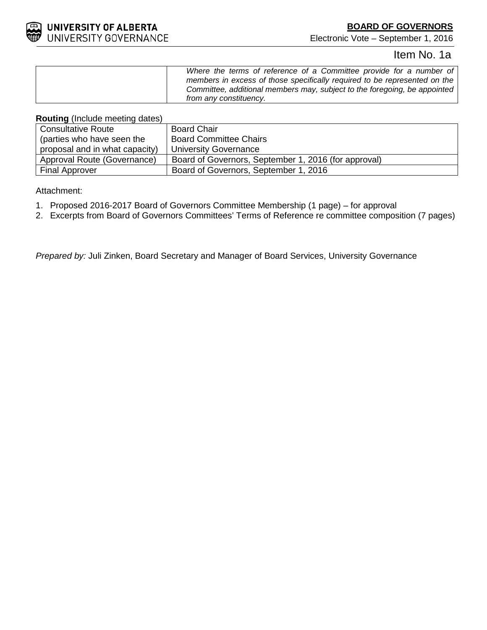

# **BOARD OF GOVERNORS**

Electronic Vote – September 1, 2016

# Item No. 1a

**Routing** (Include meeting dates)

| <b>Consultative Route</b>      | <b>Board Chair</b>                                   |
|--------------------------------|------------------------------------------------------|
| (parties who have seen the     | <b>Board Committee Chairs</b>                        |
| proposal and in what capacity) | University Governance                                |
| Approval Route (Governance)    | Board of Governors, September 1, 2016 (for approval) |
| <b>Final Approver</b>          | Board of Governors, September 1, 2016                |

Attachment:

- 1. Proposed 2016-2017 Board of Governors Committee Membership (1 page) for approval
- 2. Excerpts from Board of Governors Committees' Terms of Reference re committee composition (7 pages)

*Prepared by:* Juli Zinken, Board Secretary and Manager of Board Services, University Governance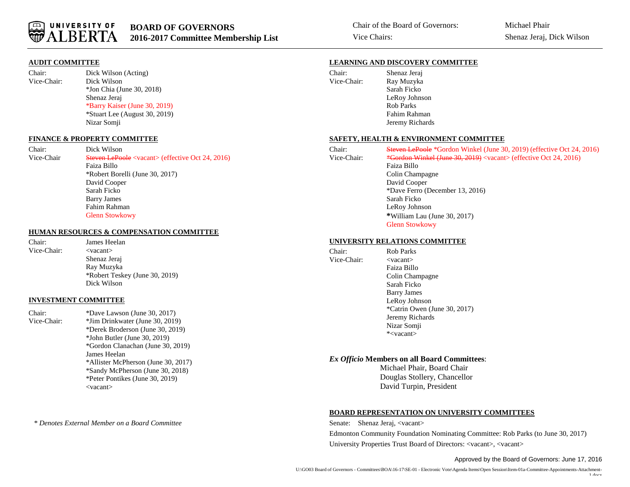

#### **AUDIT COMMITTEE**

Chair: Dick Wilson (Acting) Vice-Chair: Dick Wilson \*Jon Chia (June 30, 2018) Shenaz Jeraj \*Barry Kaiser (June 30, 2019) \*Stuart Lee (August 30, 2019) Nizar Somji

#### **FINANCE & PROPERTY COMMITTEE**

Chair: Dick Wilson Vice-Chair Steven LePoole <vacant> (effective Oct 24, 2016) Faiza Billo \*Robert Borelli (June 30, 2017) David Cooper Sarah Ficko Barry James Fahim Rahman Glenn Stowkowy

#### **HUMAN RESOURCES & COMPENSATION COMMITTEE**

Chair: James Heelan Vice-Chair: <vacant> Shenaz Jeraj Ray Muzyka \*Robert Teskey (June 30, 2019) Dick Wilson

#### **INVESTMENT COMMITTEE**

Chair: \*Dave Lawson (June 30, 2017) Vice-Chair: \*Jim Drinkwater (June 30, 2019) \*Derek Broderson (June 30, 2019) \*John Butler (June 30, 2019) \*Gordon Clanachan (June 30, 2019) James Heelan \*Allister McPherson (June 30, 2017) \*Sandy McPherson (June 30, 2018) \*Peter Pontikes (June 30, 2019) <vacant>

\* *Denotes External Member on a Board Committee*

#### **LEARNING AND DISCOVERY COMMITTEE**

| Chair:      | Shenaz Jeraj    |
|-------------|-----------------|
| Vice-Chair: | Ray Muzyka      |
|             | Sarah Ficko     |
|             | LeRoy Johnson   |
|             | Rob Parks       |
|             | Fahim Rahman    |
|             | Jeremy Richards |

#### **SAFETY, HEALTH & ENVIRONMENT COMMITTEE**

| Chair:      | <b>Steven LePoole</b> *Gordon Winkel (June 30, 2019) (effective Oct 24, 2016) |
|-------------|-------------------------------------------------------------------------------|
| Vice-Chair: | *Gordon Winkel (June 30, 2019) <vacant> (effective Oct 24, 2016)</vacant>     |
|             | Faiza Billo                                                                   |
|             | Colin Champagne                                                               |
|             | David Cooper                                                                  |
|             | *Dave Ferro (December 13, 2016)                                               |
|             | Sarah Ficko                                                                   |
|             | LeRoy Johnson                                                                 |
|             | *William Lau (June 30, 2017)                                                  |
|             | <b>Glenn Stowkowy</b>                                                         |
|             |                                                                               |

#### **UNIVERSITY RELATIONS COMMITTEE**

| Chair:      | Rob Parks                    |
|-------------|------------------------------|
| Vice-Chair: | $<$ vacant $>$               |
|             | Faiza Billo                  |
|             | Colin Champagne              |
|             | Sarah Ficko                  |
|             | <b>Barry James</b>           |
|             | LeRoy Johnson                |
|             | *Catrin Owen (June 30, 2017) |
|             | Jeremy Richards              |
|             | Nizar Somji                  |
|             | * <vacant></vacant>          |

#### *Ex Officio* **Members on all Board Committees**:

Michael Phair, Board Chair Douglas Stollery, Chancellor David Turpin, President

#### **BOARD REPRESENTATION ON UNIVERSITY COMMITTEES**

Senate: Shenaz Jeraj, <vacant> Edmonton Community Foundation Nominating Committee: Rob Parks (to June 30, 2017) University Properties Trust Board of Directors: <vacant>, <vacant>

#### Approved by the Board of Governors: June 17, 2016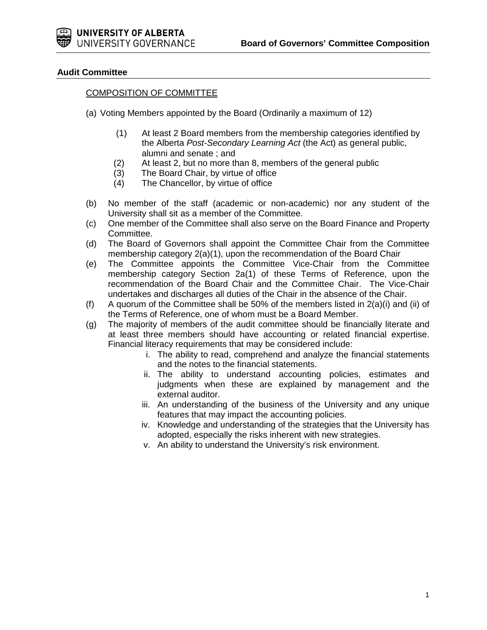# **Audit Committee**

# COMPOSITION OF COMMITTEE

- (a) Voting Members appointed by the Board (Ordinarily a maximum of 12)
	- (1) At least 2 Board members from the membership categories identified by the Alberta *Post-Secondary Learning Act* (the Act) as general public, alumni and senate ; and
	- (2) At least 2, but no more than 8, members of the general public (3) The Board Chair, by virtue of office
	- (3) The Board Chair, by virtue of office<br>(4) The Chancellor, by virtue of office
	- The Chancellor, by virtue of office
- (b) No member of the staff (academic or non-academic) nor any student of the University shall sit as a member of the Committee.
- (c) One member of the Committee shall also serve on the Board Finance and Property Committee.
- (d) The Board of Governors shall appoint the Committee Chair from the Committee membership category 2(a)(1), upon the recommendation of the Board Chair
- (e) The Committee appoints the Committee Vice-Chair from the Committee membership category Section 2a(1) of these Terms of Reference, upon the recommendation of the Board Chair and the Committee Chair. The Vice-Chair undertakes and discharges all duties of the Chair in the absence of the Chair.
- (f) A quorum of the Committee shall be 50% of the members listed in  $2(a)(i)$  and (ii) of the Terms of Reference, one of whom must be a Board Member.
- (g) The majority of members of the audit committee should be financially literate and at least three members should have accounting or related financial expertise. Financial literacy requirements that may be considered include:
	- i. The ability to read, comprehend and analyze the financial statements and the notes to the financial statements.
	- ii. The ability to understand accounting policies, estimates and judgments when these are explained by management and the external auditor.
	- iii. An understanding of the business of the University and any unique features that may impact the accounting policies.
	- iv. Knowledge and understanding of the strategies that the University has adopted, especially the risks inherent with new strategies.
	- v. An ability to understand the University's risk environment.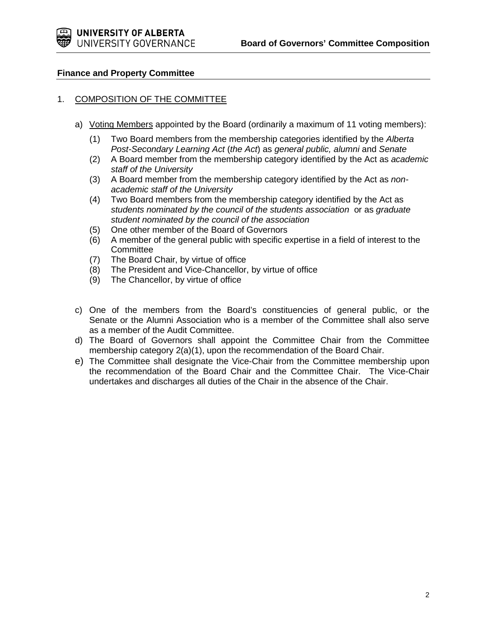# **Finance and Property Committee**

# 1. COMPOSITION OF THE COMMITTEE

- a) Voting Members appointed by the Board (ordinarily a maximum of 11 voting members):
	- (1) Two Board members from the membership categories identified by the *Alberta Post-Secondary Learning Act* (*the Act*) as *general public, alumni* and *Senate*
	- (2) A Board member from the membership category identified by the Act as *academic staff of the University*
	- (3) A Board member from the membership category identified by the Act as *nonacademic staff of the University*
	- (4) Two Board members from the membership category identified by the Act as *students nominated by the council of the students association* or as *graduate student nominated by the council of the association*
	- (5) One other member of the Board of Governors
	- (6) A member of the general public with specific expertise in a field of interest to the **Committee**
	- (7) The Board Chair, by virtue of office
	- (8) The President and Vice-Chancellor, by virtue of office
	- (9) The Chancellor, by virtue of office
- c) One of the members from the Board's constituencies of general public, or the Senate or the Alumni Association who is a member of the Committee shall also serve as a member of the Audit Committee.
- d) The Board of Governors shall appoint the Committee Chair from the Committee membership category 2(a)(1), upon the recommendation of the Board Chair.
- e) The Committee shall designate the Vice-Chair from the Committee membership upon the recommendation of the Board Chair and the Committee Chair. The Vice-Chair undertakes and discharges all duties of the Chair in the absence of the Chair.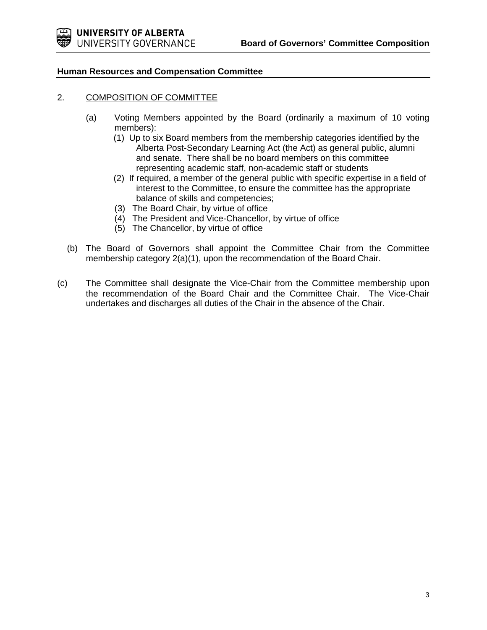

# **Human Resources and Compensation Committee**

# 2. COMPOSITION OF COMMITTEE

- (a) Voting Members appointed by the Board (ordinarily a maximum of 10 voting members):
	- (1) Up to six Board members from the membership categories identified by the Alberta Post-Secondary Learning Act (the Act) as general public, alumni and senate. There shall be no board members on this committee representing academic staff, non-academic staff or students
	- (2) If required, a member of the general public with specific expertise in a field of interest to the Committee, to ensure the committee has the appropriate balance of skills and competencies;
	- (3) The Board Chair, by virtue of office
	- (4) The President and Vice-Chancellor, by virtue of office
	- (5) The Chancellor, by virtue of office
- (b) The Board of Governors shall appoint the Committee Chair from the Committee membership category 2(a)(1), upon the recommendation of the Board Chair.
- (c) The Committee shall designate the Vice-Chair from the Committee membership upon the recommendation of the Board Chair and the Committee Chair. The Vice-Chair undertakes and discharges all duties of the Chair in the absence of the Chair.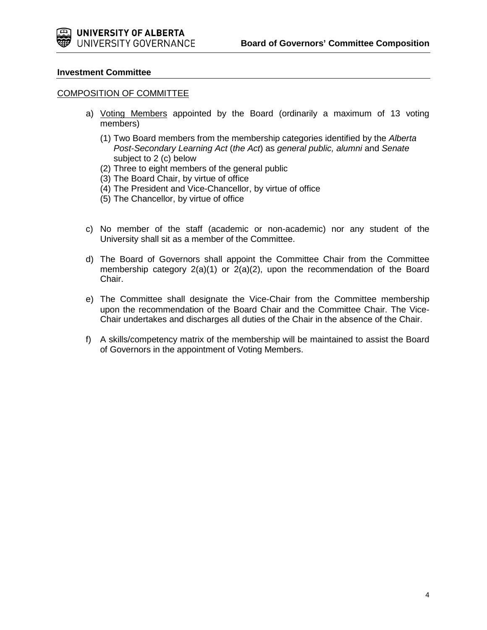

### **Investment Committee**

### COMPOSITION OF COMMITTEE

- a) Voting Members appointed by the Board (ordinarily a maximum of 13 voting members)
	- (1) Two Board members from the membership categories identified by the *Alberta Post-Secondary Learning Act* (*the Act*) as *general public, alumni* and *Senate* subject to 2 (c) below
	- (2) Three to eight members of the general public
	- (3) The Board Chair, by virtue of office
	- (4) The President and Vice-Chancellor, by virtue of office
	- (5) The Chancellor, by virtue of office
- c) No member of the staff (academic or non-academic) nor any student of the University shall sit as a member of the Committee.
- d) The Board of Governors shall appoint the Committee Chair from the Committee membership category 2(a)(1) or 2(a)(2), upon the recommendation of the Board Chair.
- e) The Committee shall designate the Vice-Chair from the Committee membership upon the recommendation of the Board Chair and the Committee Chair. The Vice-Chair undertakes and discharges all duties of the Chair in the absence of the Chair.
- f) A skills/competency matrix of the membership will be maintained to assist the Board of Governors in the appointment of Voting Members.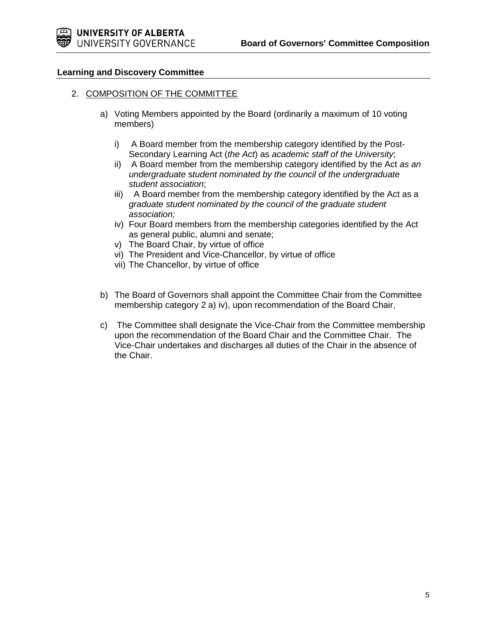# **Learning and Discovery Committee**

### 2. COMPOSITION OF THE COMMITTEE

- a) Voting Members appointed by the Board (ordinarily a maximum of 10 voting members)
	- i) A Board member from the membership category identified by the Post-Secondary Learning Act (*the Act*) as *academic staff of the University*;
	- ii) A Board member from the membership category identified by the Act *as an undergraduate* s*tudent nominated by the council of the undergraduate student association*;
	- iii) A Board member from the membership category identified by the Act as a *graduate student nominated by the council of the graduate student association;*
	- iv) Four Board members from the membership categories identified by the Act as general public, alumni and senate;
	- v) The Board Chair, by virtue of office
	- vi) The President and Vice-Chancellor, by virtue of office
	- vii) The Chancellor, by virtue of office
- b) The Board of Governors shall appoint the Committee Chair from the Committee membership category 2 a) iv), upon recommendation of the Board Chair,
- c) The Committee shall designate the Vice-Chair from the Committee membership upon the recommendation of the Board Chair and the Committee Chair. The Vice-Chair undertakes and discharges all duties of the Chair in the absence of the Chair.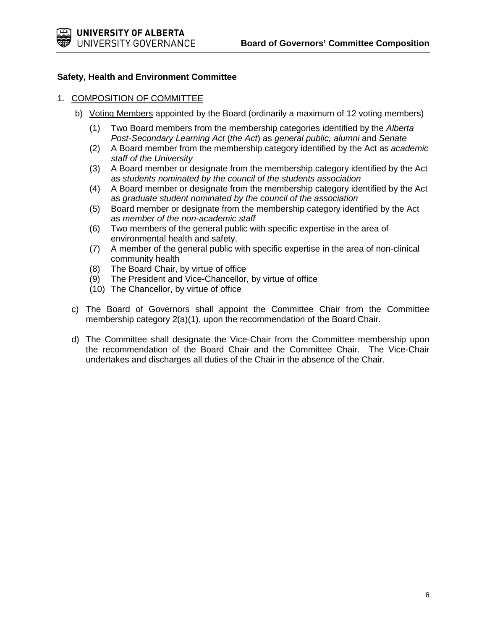# **Safety, Health and Environment Committee**

# 1. COMPOSITION OF COMMITTEE

- b) Voting Members appointed by the Board (ordinarily a maximum of 12 voting members)
	- (1) Two Board members from the membership categories identified by the *Alberta Post-Secondary Learning Act* (*the Act*) as *general public, alumni* and *Senate*
	- (2) A Board member from the membership category identified by the Act as *academic staff of the University*
	- (3) A Board member or designate from the membership category identified by the Act as *students nominated by the council of the students association*
	- (4) A Board member or designate from the membership category identified by the Act as *graduate student nominated by the council of the association*
	- (5) Board member or designate from the membership category identified by the Act as *member of the non-academic staff*
	- (6) Two members of the general public with specific expertise in the area of environmental health and safety.
	- (7) A member of the general public with specific expertise in the area of non-clinical community health
	- (8) The Board Chair, by virtue of office
	- (9) The President and Vice-Chancellor, by virtue of office
	- (10) The Chancellor, by virtue of office
- c) The Board of Governors shall appoint the Committee Chair from the Committee membership category 2(a)(1), upon the recommendation of the Board Chair.
- d) The Committee shall designate the Vice-Chair from the Committee membership upon the recommendation of the Board Chair and the Committee Chair. The Vice-Chair undertakes and discharges all duties of the Chair in the absence of the Chair.